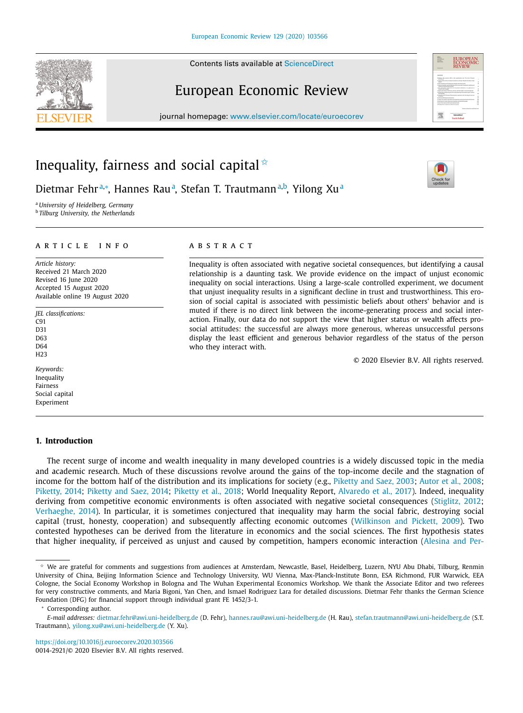Contents lists available at [ScienceDirect](http://www.ScienceDirect.com)

# European Economic Review

journal homepage: [www.elsevier.com/locate/euroecorev](http://www.elsevier.com/locate/euroecorev)



# Inequality, fairness and social capital  $\dot{\mathbf{x}}$

Dietmar Fehr<sup>a,</sup>\*, Hannes Rau<sup>a</sup>, Stefan T. Trautmann<sup>a,b</sup>, Yilong Xuª

<sup>a</sup> *University of Heidelberg, Germany*

<sup>b</sup> *Tilburg University, the Netherlands*

### a r t i c l e i n f o

*Article history:* Received 21 March 2020 Revised 16 June 2020 Accepted 15 August 2020 Available online 19 August 2020

*JEL classifications:* C91 D31 D63 D64 H23

*Keywords:* Inequality Fairness Social capital Experiment

# **1. Introduction**

a b s t r a c t

Inequality is often associated with negative societal consequences, but identifying a causal relationship is a daunting task. We provide evidence on the impact of unjust economic inequality on social interactions. Using a large-scale controlled experiment, we document that unjust inequality results in a significant decline in trust and trustworthiness. This erosion of social capital is associated with pessimistic beliefs about others' behavior and is muted if there is no direct link between the income-generating process and social interaction. Finally, our data do not support the view that higher status or wealth affects prosocial attitudes: the successful are always more generous, whereas unsuccessful persons display the least efficient and generous behavior regardless of the status of the person who they interact with.

© 2020 Elsevier B.V. All rights reserved.

income for the bottom half of the distribution and its implications for society (e.g., [Piketty](#page-11-0) and Saez, 2003; [Autor](#page-10-0) et al., 2008; [Piketty,](#page-11-0) 2014; [Piketty](#page-11-0) and Saez, 2014; [Piketty](#page-11-0) et al., 2018; World Inequality Report, [Alvaredo](#page-10-0) et al., 2017). Indeed, inequality deriving from competitive economic environments is often associated with negative societal consequences [\(Stiglitz,](#page-11-0) 2012; [Verhaeghe,](#page-11-0) 2014). In particular, it is sometimes conjectured that inequality may harm the social fabric, destroying social capital (trust, honesty, cooperation) and subsequently affecting economic outcomes [\(Wilkinson](#page-11-0) and Pickett, 2009). Two contested hypotheses can be derived from the literature in economics and the social sciences. The first hypothesis states that higher inequality, if perceived as unjust and caused by competition, hampers economic interaction [\(Alesina](#page-10-0) and Per-

The recent surge of income and wealth inequality in many developed countries is a widely discussed topic in the media and academic research. Much of these discussions revolve around the gains of the top-income decile and the stagnation of

<sup>∗</sup> Corresponding author.

<https://doi.org/10.1016/j.euroecorev.2020.103566> 0014-2921/© 2020 Elsevier B.V. All rights reserved.





<sup>✩</sup> We are grateful for comments and suggestions from audiences at Amsterdam, Newcastle, Basel, Heidelberg, Luzern, NYU Abu Dhabi, Tilburg, Renmin University of China, Beijing Information Science and Technology University, WU Vienna, Max-Planck-Institute Bonn, ESA Richmond, FUR Warwick, EEA Cologne, the Social Economy Workshop in Bologna and The Wuhan Experimental Economics Workshop. We thank the Associate Editor and two referees for very constructive comments, and Maria Bigoni, Yan Chen, and Ismael Rodriguez Lara for detailed discussions. Dietmar Fehr thanks the German Science Foundation (DFG) for financial support through individual grant FE 1452/3-1.

*E-mail addresses:* [dietmar.fehr@awi.uni-heidelberg.de](mailto:dietmar.fehr@awi.uni-heidelberg.de) (D. Fehr), [hannes.rau@awi.uni-heidelberg.de](mailto:hannes.rau@awi.uni-heidelberg.de) (H. Rau), [stefan.trautmann@awi.uni-heidelberg.de](mailto:stefan.trautmann@awi.uni-heidelberg.de) (S.T. Trautmann), [yilong.xu@awi.uni-heidelberg.de](mailto:yilong.xu@awi.uni-heidelberg.de) (Y. Xu).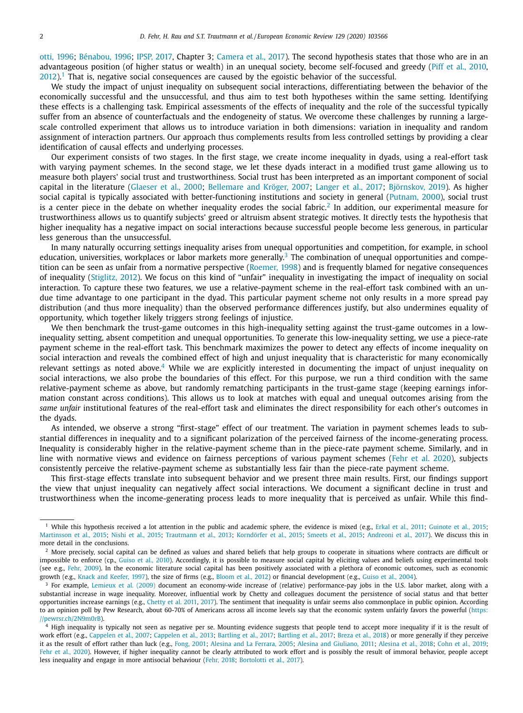otti, [1996;](#page-10-0) [Bénabou,](#page-10-0) 1996; IPSP, [2017,](#page-11-0) Chapter 3; [Camera](#page-11-0) et al., 2017). The second hypothesis states that those who are in an advantageous position (of higher status or wealth) in an unequal society, become self-focused and greedy [\(Piff et](#page-11-0) al., 2010,  $2012$ ).<sup>1</sup> That is, negative social consequences are caused by the egoistic behavior of the successful.

We study the impact of unjust inequality on subsequent social interactions, differentiating between the behavior of the economically successful and the unsuccessful, and thus aim to test both hypotheses within the same setting. Identifying these effects is a challenging task. Empirical assessments of the effects of inequality and the role of the successful typically suffer from an absence of counterfactuals and the endogeneity of status. We overcome these challenges by running a largescale controlled experiment that allows us to introduce variation in both dimensions: variation in inequality and random assignment of interaction partners. Our approach thus complements results from less controlled settings by providing a clear identification of causal effects and underlying processes.

Our experiment consists of two stages. In the first stage, we create income inequality in dyads, using a real-effort task with varying payment schemes. In the second stage, we let these dyads interact in a modified trust game allowing us to measure both players' social trust and trustworthiness. Social trust has been interpreted as an important component of social capital in the literature [\(Glaeser](#page-11-0) et al., 2000; [Bellemare](#page-10-0) and Kröger, 2007; [Langer](#page-11-0) et al., 2017; [Björnskov,](#page-10-0) 2019). As higher social capital is typically associated with better-functioning institutions and society in general [\(Putnam,](#page-11-0) 2000), social trust is a center piece in the debate on whether inequality erodes the social fabric.<sup>2</sup> In addition, our experimental measure for trustworthiness allows us to quantify subjects' greed or altruism absent strategic motives. It directly tests the hypothesis that higher inequality has a negative impact on social interactions because successful people become less generous, in particular less generous than the unsuccessful.

In many naturally occurring settings inequality arises from unequal opportunities and competition, for example, in school education, universities, workplaces or labor markets more generally.<sup>3</sup> The combination of unequal opportunities and competition can be seen as unfair from a normative perspective [\(Roemer,](#page-11-0) 1998) and is frequently blamed for negative consequences of inequality [\(Stiglitz,](#page-11-0) 2012). We focus on this kind of "unfair" inequality in investigating the impact of inequality on social interaction. To capture these two features, we use a relative-payment scheme in the real-effort task combined with an undue time advantage to one participant in the dyad. This particular payment scheme not only results in a more spread pay distribution (and thus more inequality) than the observed performance differences justify, but also undermines equality of opportunity, which together likely triggers strong feelings of injustice.

We then benchmark the trust-game outcomes in this high-inequality setting against the trust-game outcomes in a lowinequality setting, absent competition and unequal opportunities. To generate this low-inequality setting, we use a piece-rate payment scheme in the real-effort task. This benchmark maximizes the power to detect any effects of income inequality on social interaction and reveals the combined effect of high and unjust inequality that is characteristic for many economically relevant settings as noted above.<sup>4</sup> While we are explicitly interested in documenting the impact of unjust inequality on social interactions, we also probe the boundaries of this effect. For this purpose, we run a third condition with the same relative-payment scheme as above, but randomly rematching participants in the trust-game stage (keeping earnings information constant across conditions). This allows us to look at matches with equal and unequal outcomes arising from the *same unfair* institutional features of the real-effort task and eliminates the direct responsibility for each other's outcomes in the dyads.

As intended, we observe a strong "first-stage" effect of our treatment. The variation in payment schemes leads to substantial differences in inequality and to a significant polarization of the perceived fairness of the income-generating process. Inequality is considerably higher in the relative-payment scheme than in the piece-rate payment scheme. Similarly, and in line with normative views and evidence on fairness perceptions of various payment schemes (Fehr et al. [2020\)](#page-11-0), subjects consistently perceive the relative-payment scheme as substantially less fair than the piece-rate payment scheme.

This first-stage effects translate into subsequent behavior and we present three main results. First, our findings support the view that unjust inequality can negatively affect social interactions. We document a significant decline in trust and trustworthiness when the income-generating process leads to more inequality that is perceived as unfair. While this find-

<sup>&</sup>lt;sup>1</sup> While this hypothesis received a lot attention in the public and academic sphere, the evidence is mixed (e.g., Erkal et al., [2011;](#page-11-0) [Guinote](#page-11-0) et al., 2015; [Martinsson](#page-11-0) et al., 2015; Nishi et al., [2015;](#page-11-0) [Trautmann](#page-11-0) et al., 2013; [Korndörfer](#page-11-0) et al., 2015; [Smeets](#page-11-0) et al., 2015; [Andreoni](#page-10-0) et al., 2017). We discuss this in more detail in the conclusions.

 $2$  More precisely, social capital can be defined as values and shared beliefs that help groups to cooperate in situations where contracts are difficult or impossible to enforce (cp., [Guiso](#page-11-0) et al., 2010). Accordingly, it is possible to measure social capital by eliciting values and beliefs using experimental tools (see e.g., Fehr, [2009\)](#page-11-0). In the economic literature social capital has been positively associated with a plethora of economic outcomes, such as economic growth (e.g., Knack and [Keefer,](#page-11-0) 1997), the size of firms (e.g., [Bloom](#page-11-0) et al., 2012) or financial development (e.g., [Guiso](#page-11-0) et al., 2004).

<sup>&</sup>lt;sup>3</sup> For example, [Lemieux](#page-11-0) et al. (2009) document an economy-wide increase of (relative) performance-pay jobs in the U.S. labor market, along with a substantial increase in wage inequality. Moreover, influential work by Chetty and colleagues document the persistence of social status and that better opportunities increase earnings (e.g., [Chetty](#page-11-0) et al. 2011, [2017\)](#page-11-0). The sentiment that inequality is unfair seems also commonplace in public opinion. According to an opinion poll by Pew Research, about 60-70% of Americans across all income levels say that the economic system unfairly favors the powerful (https: [//pewrsr.ch/2N9m0rB\).](https://pewrsr.ch/2N9m0rB)

<sup>4</sup> High inequality is typically not seen as negative per se. Mounting evidence suggests that people tend to accept more inequality if it is the result of work effort (e.g., [Cappelen](#page-11-0) et al., 2007; [Cappelen](#page-11-0) et al., 2013; [Bartling](#page-10-0) et al., 2017; [Bartling](#page-10-0) et al., 2017; [Breza](#page-11-0) et al., 2018) or more generally if they perceive it as the result of effort rather than luck (e.g., Fong, [2001;](#page-11-0) Alesina and La [Ferrara,](#page-10-0) 2005; Alesina and [Giuliano,](#page-10-0) 2011; [Alesina](#page-10-0) et al., 2018; [Cohn](#page-11-0) et al., 2019; Fehr et al., [2020\)](#page-11-0). However, if higher inequality cannot be clearly attributed to work effort and is possibly the result of immoral behavior, people accept less inequality and engage in more antisocial behaviour (Fehr, [2018;](#page-11-0) [Bortolotti](#page-11-0) et al., 2017).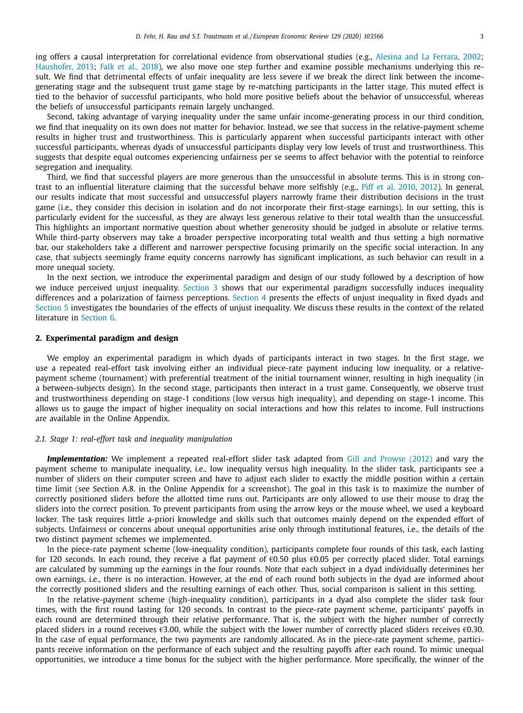ing offers a causal interpretation for correlational evidence from observational studies (e.g., Alesina and La [Ferrara,](#page-10-0) 2002; [Haushofer,](#page-11-0) 2013; Falk et al., [2018\)](#page-11-0), we also move one step further and examine possible mechanisms underlying this result. We find that detrimental effects of unfair inequality are less severe if we break the direct link between the incomegenerating stage and the subsequent trust game stage by re-matching participants in the latter stage. This muted effect is tied to the behavior of successful participants, who hold more positive beliefs about the behavior of unsuccessful, whereas the beliefs of unsuccessful participants remain largely unchanged.

Second, taking advantage of varying inequality under the same unfair income-generating process in our third condition, we find that inequality on its own does not matter for behavior. Instead, we see that success in the relative-payment scheme results in higher trust and trustworthiness. This is particularly apparent when successful participants interact with other successful participants, whereas dyads of unsuccessful participants display very low levels of trust and trustworthiness. This suggests that despite equal outcomes experiencing unfairness per se seems to affect behavior with the potential to reinforce segregation and inequality.

Third, we find that successful players are more generous than the unsuccessful in absolute terms. This is in strong contrast to an influential literature claiming that the successful behave more selfishly (e.g., [Piff et](#page-11-0) al. 2010, [2012\)](#page-11-0). In general, our results indicate that most successful and unsuccessful players narrowly frame their distribution decisions in the trust game (i.e., they consider this decision in isolation and do not incorporate their first-stage earnings). In our setting, this is particularly evident for the successful, as they are always less generous relative to their total wealth than the unsuccessful. This highlights an important normative question about whether generosity should be judged in absolute or relative terms. While third-party observers may take a broader perspective incorporating total wealth and thus setting a high normative bar, our stakeholders take a different and narrower perspective focusing primarily on the specific social interaction. In any case, that subjects seemingly frame equity concerns narrowly has significant implications, as such behavior can result in a more unequal society.

In the next section, we introduce the experimental paradigm and design of our study followed by a description of how we induce perceived unjust inequality. [Section](#page-5-0) 3 shows that our experimental paradigm successfully induces inequality differences and a polarization of fairness perceptions. [Section](#page-6-0) 4 presents the effects of unjust inequality in fixed dyads and [Section](#page-8-0) 5 investigates the boundaries of the effects of unjust inequality. We discuss these results in the context of the related literature in [Section](#page-9-0) 6.

# **2. Experimental paradigm and design**

We employ an experimental paradigm in which dyads of participants interact in two stages. In the first stage, we use a repeated real-effort task involving either an individual piece-rate payment inducing low inequality, or a relativepayment scheme (tournament) with preferential treatment of the initial tournament winner, resulting in high inequality (in a between-subjects design). In the second stage, participants then interact in a trust game. Consequently, we observe trust and trustworthiness depending on stage-1 conditions (low versus high inequality), and depending on stage-1 income. This allows us to gauge the impact of higher inequality on social interactions and how this relates to income. Full instructions are available in the Online Appendix.

#### *2.1. Stage 1: real-effort task and inequality manipulation*

*Implementation:* We implement a repeated real-effort slider task adapted from Gill and [Prowse](#page-11-0) (2012) and vary the payment scheme to manipulate inequality, i.e., low inequality versus high inequality. In the slider task, participants see a number of sliders on their computer screen and have to adjust each slider to exactly the middle position within a certain time limit (see Section A.8. in the Online Appendix for a screenshot). The goal in this task is to maximize the number of correctly positioned sliders before the allotted time runs out. Participants are only allowed to use their mouse to drag the sliders into the correct position. To prevent participants from using the arrow keys or the mouse wheel, we used a keyboard locker. The task requires little a-priori knowledge and skills such that outcomes mainly depend on the expended effort of subjects. Unfairness or concerns about unequal opportunities arise only through institutional features, i.e., the details of the two distinct payment schemes we implemented.

In the piece-rate payment scheme (low-inequality condition), participants complete four rounds of this task, each lasting for 120 seconds. In each round, they receive a flat payment of  $\epsilon$ 0.50 plus  $\epsilon$ 0.05 per correctly placed slider. Total earnings are calculated by summing up the earnings in the four rounds. Note that each subject in a dyad individually determines her own earnings, i.e., there is no interaction. However, at the end of each round both subjects in the dyad are informed about the correctly positioned sliders and the resulting earnings of each other. Thus, social comparison is salient in this setting.

In the relative-payment scheme (high-inequality condition), participants in a dyad also complete the slider task four times, with the first round lasting for 120 seconds. In contrast to the piece-rate payment scheme, participants' payoffs in each round are determined through their relative performance. That is, the subject with the higher number of correctly placed sliders in a round receives €3.00, while the subject with the lower number of correctly placed sliders receives €0.30. In the case of equal performance, the two payments are randomly allocated. As in the piece-rate payment scheme, participants receive information on the performance of each subject and the resulting payoffs after each round. To mimic unequal opportunities, we introduce a time bonus for the subject with the higher performance. More specifically, the winner of the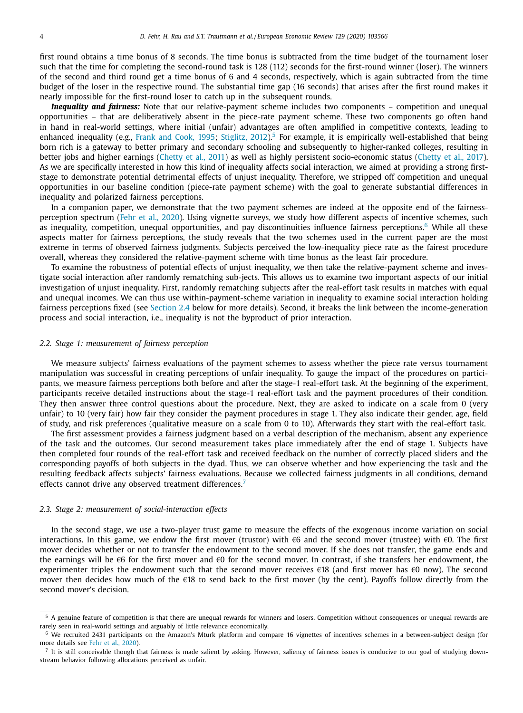first round obtains a time bonus of 8 seconds. The time bonus is subtracted from the time budget of the tournament loser such that the time for completing the second-round task is 128 (112) seconds for the first-round winner (loser). The winners of the second and third round get a time bonus of 6 and 4 seconds, respectively, which is again subtracted from the time budget of the loser in the respective round. The substantial time gap (16 seconds) that arises after the first round makes it nearly impossible for the first-round loser to catch up in the subsequent rounds.

*Inequality and fairness:* Note that our relative-payment scheme includes two components – competition and unequal opportunities – that are deliberatively absent in the piece-rate payment scheme. These two components go often hand in hand in real-world settings, where initial (unfair) advantages are often amplified in competitive contexts, leading to enhanced inequality (e.g., [Frank](#page-11-0) and Cook, 1995; [Stiglitz,](#page-11-0) 2012).<sup>5</sup> For example, it is empirically well-established that being born rich is a gateway to better primary and secondary schooling and subsequently to higher-ranked colleges, resulting in better jobs and higher earnings [\(Chetty](#page-11-0) et al., 2011) as well as highly persistent socio-economic status [\(Chetty](#page-11-0) et al., 2017). As we are specifically interested in how this kind of inequality affects social interaction, we aimed at providing a strong firststage to demonstrate potential detrimental effects of unjust inequality. Therefore, we stripped off competition and unequal opportunities in our baseline condition (piece-rate payment scheme) with the goal to generate substantial differences in inequality and polarized fairness perceptions.

In a companion paper, we demonstrate that the two payment schemes are indeed at the opposite end of the fairnessperception spectrum (Fehr et al., [2020\)](#page-11-0). Using vignette surveys, we study how different aspects of incentive schemes, such as inequality, competition, unequal opportunities, and pay discontinuities influence fairness perceptions.<sup>6</sup> While all these aspects matter for fairness perceptions, the study reveals that the two schemes used in the current paper are the most extreme in terms of observed fairness judgments. Subjects perceived the low-inequality piece rate as the fairest procedure overall, whereas they considered the relative-payment scheme with time bonus as the least fair procedure.

To examine the robustness of potential effects of unjust inequality, we then take the relative-payment scheme and investigate social interaction after randomly rematching sub-jects. This allows us to examine two important aspects of our initial investigation of unjust inequality. First, randomly rematching subjects after the real-effort task results in matches with equal and unequal incomes. We can thus use within-payment-scheme variation in inequality to examine social interaction holding fairness perceptions fixed (see [Section](#page-4-0) 2.4 below for more details). Second, it breaks the link between the income-generation process and social interaction, i.e., inequality is not the byproduct of prior interaction.

#### *2.2. Stage 1: measurement of fairness perception*

We measure subjects' fairness evaluations of the payment schemes to assess whether the piece rate versus tournament manipulation was successful in creating perceptions of unfair inequality. To gauge the impact of the procedures on participants, we measure fairness perceptions both before and after the stage-1 real-effort task. At the beginning of the experiment, participants receive detailed instructions about the stage-1 real-effort task and the payment procedures of their condition. They then answer three control questions about the procedure. Next, they are asked to indicate on a scale from 0 (very unfair) to 10 (very fair) how fair they consider the payment procedures in stage 1. They also indicate their gender, age, field of study, and risk preferences (qualitative measure on a scale from 0 to 10). Afterwards they start with the real-effort task.

The first assessment provides a fairness judgment based on a verbal description of the mechanism, absent any experience of the task and the outcomes. Our second measurement takes place immediately after the end of stage 1. Subjects have then completed four rounds of the real-effort task and received feedback on the number of correctly placed sliders and the corresponding payoffs of both subjects in the dyad. Thus, we can observe whether and how experiencing the task and the resulting feedback affects subjects' fairness evaluations. Because we collected fairness judgments in all conditions, demand effects cannot drive any observed treatment differences.<sup>7</sup>

#### *2.3. Stage 2: measurement of social-interaction effects*

In the second stage, we use a two-player trust game to measure the effects of the exogenous income variation on social interactions. In this game, we endow the first mover (trustor) with  $\epsilon$ 6 and the second mover (trustee) with  $\epsilon$ 0. The first mover decides whether or not to transfer the endowment to the second mover. If she does not transfer, the game ends and the earnings will be  $\epsilon$ 6 for the first mover and  $\epsilon$ 0 for the second mover. In contrast, if she transfers her endowment, the experimenter triples the endowment such that the second mover receives  $\epsilon$ 18 (and first mover has  $\epsilon$ 0 now). The second mover then decides how much of the  $\epsilon$ 18 to send back to the first mover (by the cent). Payoffs follow directly from the second mover's decision.

<sup>&</sup>lt;sup>5</sup> A genuine feature of competition is that there are unequal rewards for winners and losers. Competition without consequences or unequal rewards are rarely seen in real-world settings and arguably of little relevance economically.

 $6$  We recruited 2431 participants on the Amazon's Mturk platform and compare 16 vignettes of incentives schemes in a between-subject design (for more details see Fehr et al., [2020\)](#page-11-0).

 $<sup>7</sup>$  It is still conceivable though that fairness is made salient by asking. However, saliency of fairness issues is conducive to our goal of studying down-</sup> stream behavior following allocations perceived as unfair.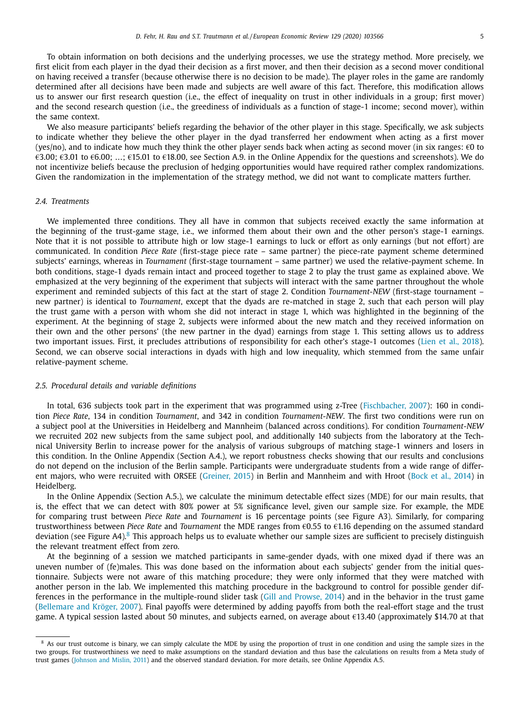<span id="page-4-0"></span>To obtain information on both decisions and the underlying processes, we use the strategy method. More precisely, we first elicit from each player in the dyad their decision as a first mover, and then their decision as a second mover conditional on having received a transfer (because otherwise there is no decision to be made). The player roles in the game are randomly determined after all decisions have been made and subjects are well aware of this fact. Therefore, this modification allows us to answer our first research question (i.e., the effect of inequality on trust in other individuals in a group; first mover) and the second research question (i.e., the greediness of individuals as a function of stage-1 income; second mover), within the same context.

We also measure participants' beliefs regarding the behavior of the other player in this stage. Specifically, we ask subjects to indicate whether they believe the other player in the dyad transferred her endowment when acting as a first mover (yes/no), and to indicate how much they think the other player sends back when acting as second mover (in six ranges: €0 to €3.00; €3.01 to €6.00; …; €15.01 to €18.00, see Section A.9. in the Online Appendix for the questions and screenshots). We do not incentivize beliefs because the preclusion of hedging opportunities would have required rather complex randomizations. Given the randomization in the implementation of the strategy method, we did not want to complicate matters further.

#### *2.4. Treatments*

We implemented three conditions. They all have in common that subjects received exactly the same information at the beginning of the trust-game stage, i.e., we informed them about their own and the other person's stage-1 earnings. Note that it is not possible to attribute high or low stage-1 earnings to luck or effort as only earnings (but not effort) are communicated. In condition *Piece Rate* (first-stage piece rate – same partner) the piece-rate payment scheme determined subjects' earnings, whereas in *Tournament* (first-stage tournament – same partner) we used the relative-payment scheme. In both conditions, stage-1 dyads remain intact and proceed together to stage 2 to play the trust game as explained above. We emphasized at the very beginning of the experiment that subjects will interact with the same partner throughout the whole experiment and reminded subjects of this fact at the start of stage 2. Condition *Tournament-NEW* (first-stage tournament – new partner) is identical to *Tournament*, except that the dyads are re-matched in stage 2, such that each person will play the trust game with a person with whom she did not interact in stage 1, which was highlighted in the beginning of the experiment. At the beginning of stage 2, subjects were informed about the new match and they received information on their own and the other persons' (the new partner in the dyad) earnings from stage 1. This setting allows us to address two important issues. First, it precludes attributions of responsibility for each other's stage-1 outcomes (Lien et al., [2018\)](#page-11-0). Second, we can observe social interactions in dyads with high and low inequality, which stemmed from the same unfair relative-payment scheme.

### *2.5. Procedural details and variable definitions*

In total, 636 subjects took part in the experiment that was programmed using z-Tree [\(Fischbacher,](#page-11-0) 2007): 160 in condition *Piece Rate*, 134 in condition *Tournament*, and 342 in condition *Tournament-NEW*. The first two conditions were run on a subject pool at the Universities in Heidelberg and Mannheim (balanced across conditions). For condition *Tournament-NEW* we recruited 202 new subjects from the same subject pool, and additionally 140 subjects from the laboratory at the Technical University Berlin to increase power for the analysis of various subgroups of matching stage-1 winners and losers in this condition. In the Online Appendix (Section A.4.), we report robustness checks showing that our results and conclusions do not depend on the inclusion of the Berlin sample. Participants were undergraduate students from a wide range of different majors, who were recruited with ORSEE [\(Greiner,](#page-11-0) 2015) in Berlin and Mannheim and with Hroot (Bock et al., [2014\)](#page-11-0) in Heidelberg.

In the Online Appendix (Section A.5.), we calculate the minimum detectable effect sizes (MDE) for our main results, that is, the effect that we can detect with 80% power at 5% significance level, given our sample size. For example, the MDE for comparing trust between *Piece Rate* and *Tournament* is 16 percentage points (see Figure A3). Similarly, for comparing trustworthiness between *Piece Rate* and *Tournament* the MDE ranges from €0.55 to €1.16 depending on the assumed standard deviation (see Figure A4).<sup>8</sup> This approach helps us to evaluate whether our sample sizes are sufficient to precisely distinguish the relevant treatment effect from zero.

At the beginning of a session we matched participants in same-gender dyads, with one mixed dyad if there was an uneven number of (fe)males. This was done based on the information about each subjects' gender from the initial questionnaire. Subjects were not aware of this matching procedure; they were only informed that they were matched with another person in the lab. We implemented this matching procedure in the background to control for possible gender differences in the performance in the multiple-round slider task (Gill and [Prowse,](#page-11-0) 2014) and in the behavior in the trust game [\(Bellemare](#page-10-0) and Kröger, 2007). Final payoffs were determined by adding payoffs from both the real-effort stage and the trust game. A typical session lasted about 50 minutes, and subjects earned, on average about €13.40 (approximately \$14.70 at that

<sup>&</sup>lt;sup>8</sup> As our trust outcome is binary, we can simply calculate the MDE by using the proportion of trust in one condition and using the sample sizes in the two groups. For trustworthiness we need to make assumptions on the standard deviation and thus base the calculations on results from a Meta study of trust games [\(Johnson](#page-11-0) and Mislin, 2011) and the observed standard deviation. For more details, see Online Appendix A.5.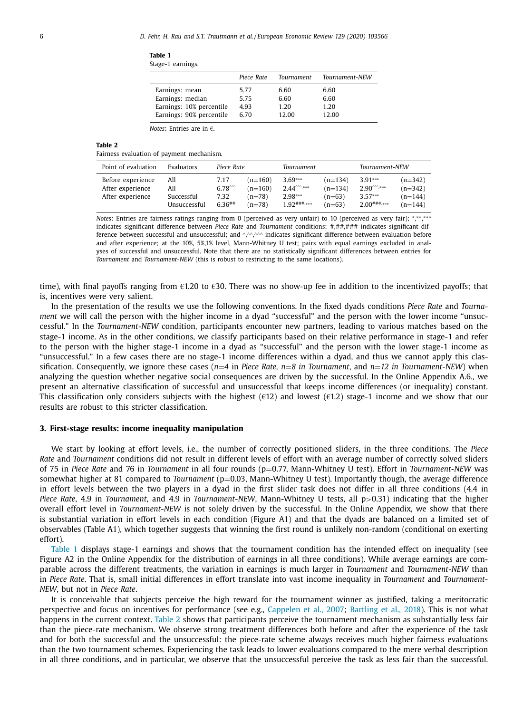|                          | Piece Rate | Tournament | Tournament-NEW |
|--------------------------|------------|------------|----------------|
| Earnings: mean           | 5.77       | 6.60       | 6.60           |
| Earnings: median         | 5.75       | 6.60       | 6.60           |
| Earnings: 10% percentile | 4.93       | 1.20       | 1.20           |
| Earnings: 90% percentile | 6.70       | 12.00      | 12.00          |

<span id="page-5-0"></span>

| Table 1 |                   |
|---------|-------------------|
|         | Stage-1 earnings. |

*Notes*: Entries are in €.

#### **Table 2**

Fairness evaluation of payment mechanism.

| Point of evaluation                                       | Evaluators                               | Piece Rate                                            |                                                | Tournament                                                 |                                                | Tournament-NEW                                                                      |                                                  |
|-----------------------------------------------------------|------------------------------------------|-------------------------------------------------------|------------------------------------------------|------------------------------------------------------------|------------------------------------------------|-------------------------------------------------------------------------------------|--------------------------------------------------|
| Before experience<br>After experience<br>After experience | All<br>All<br>Successful<br>Unsuccessful | 7.17<br>$6.78^{\sim}$<br>7.32<br>$6.36$ <sup>##</sup> | $(n=160)$<br>$(n=160)$<br>$(n=78)$<br>$(n=78)$ | $3.69***$<br>$2.44^{\sim}\$<br>$2.98***$<br>$1.92$ ###,*** | $(n=134)$<br>$(n=134)$<br>$(n=63)$<br>$(n=63)$ | $3.91***$<br>$2.90^{\circ\circ\circ,\ast\ast\ast}$<br>$3.57***$<br>$2.00^{###,***}$ | $(n=342)$<br>$(n=342)$<br>$(n=144)$<br>$(n=144)$ |

*Notes*: Entries are fairness ratings ranging from 0 (perceived as very unfair) to 10 (perceived as very fair); <sup>∗</sup>, ∗∗, ∗∗∗ indicates significant difference between *Piece Rate* and *Tournament* conditions; #,##,### indicates significant difference between successful and unsuccessful; and ^,^^,^^^ indicates significant difference between evaluation before and after experience; at the 10%, 5%,1% level, Mann-Whitney U test; pairs with equal earnings excluded in analyses of successful and unsuccessful. Note that there are no statistically significant differences between entries for *Tournament* and *Tournament-NEW* (this is robust to restricting to the same locations).

time), with final payoffs ranging from  $\epsilon$ 1.20 to  $\epsilon$ 30. There was no show-up fee in addition to the incentivized payoffs; that is, incentives were very salient.

In the presentation of the results we use the following conventions. In the fixed dyads conditions *Piece Rate* and *Tournament* we will call the person with the higher income in a dyad "successful" and the person with the lower income "unsuccessful." In the *Tournament-NEW* condition, participants encounter new partners, leading to various matches based on the stage-1 income. As in the other conditions, we classify participants based on their relative performance in stage-1 and refer to the person with the higher stage-1 income in a dyad as "successful" and the person with the lower stage-1 income as "unsuccessful." In a few cases there are no stage-1 income differences within a dyad, and thus we cannot apply this classification. Consequently, we ignore these cases (*n*=*4* in *Piece Rate, n*=*8 in Tournament*, and *n*=*12 in Tournament-NEW*) when analyzing the question whether negative social consequences are driven by the successful. In the Online Appendix A.6., we present an alternative classification of successful and unsuccessful that keeps income differences (or inequality) constant. This classification only considers subjects with the highest ( $E12$ ) and lowest ( $E12$ ) stage-1 income and we show that our results are robust to this stricter classification.

#### **3. First-stage results: income inequality manipulation**

We start by looking at effort levels, i.e., the number of correctly positioned sliders, in the three conditions. The *Piece Rate* and *Tournament* conditions did not result in different levels of effort with an average number of correctly solved sliders of 75 in *Piece Rate* and 76 in *Tournament* in all four rounds (p=0.77, Mann-Whitney U test). Effort in *Tournament-NEW* was somewhat higher at 81 compared to *Tournament* (p=0.03, Mann-Whitney U test). Importantly though, the average difference in effort levels between the two players in a dyad in the first slider task does not differ in all three conditions (4.4 in *Piece Rate*, 4.9 in *Tournament*, and 4.9 in *Tournament-NEW*, Mann-Whitney U tests, all p>0.31) indicating that the higher overall effort level in *Tournament-NEW* is not solely driven by the successful. In the Online Appendix, we show that there is substantial variation in effort levels in each condition (Figure A1) and that the dyads are balanced on a limited set of observables (Table A1), which together suggests that winning the first round is unlikely non-random (conditional on exerting effort).

Table 1 displays stage-1 earnings and shows that the tournament condition has the intended effect on inequality (see Figure A2 in the Online Appendix for the distribution of earnings in all three conditions). While average earnings are comparable across the different treatments, the variation in earnings is much larger in *Tournament* and *Tournament-NEW* than in *Piece Rate*. That is, small initial differences in effort translate into vast income inequality in *Tournament* and *Tournament-NEW*, but not in *Piece Rate*.

It is conceivable that subjects perceive the high reward for the tournament winner as justified, taking a meritocratic perspective and focus on incentives for performance (see e.g., [Cappelen](#page-11-0) et al., 2007; [Bartling](#page-10-0) et al., 2018). This is not what happens in the current context. Table 2 shows that participants perceive the tournament mechanism as substantially less fair than the piece-rate mechanism. We observe strong treatment differences both before and after the experience of the task and for both the successful and the unsuccessful: the piece-rate scheme always receives much higher fairness evaluations than the two tournament schemes. Experiencing the task leads to lower evaluations compared to the mere verbal description in all three conditions, and in particular, we observe that the unsuccessful perceive the task as less fair than the successful.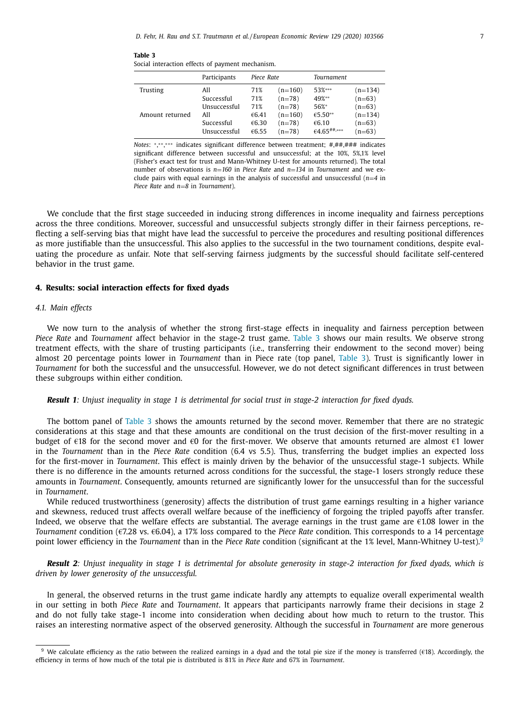<span id="page-6-0"></span>**Table 3**

Social interaction effects of payment mechanism.

|                 | Participants | Piece Rate |           | Tournament               |           |
|-----------------|--------------|------------|-----------|--------------------------|-----------|
| Trusting        | All          | 71%        | $(n=160)$ | 53%***                   | $(n=134)$ |
|                 | Successful   | 71%        | $(n=78)$  | 49%**                    | $(n=63)$  |
|                 | Unsuccessful | 71%        | $(n=78)$  | 56%                      | $(n=63)$  |
| Amount returned | All          | €6.41      | $(n=160)$ | $65.50**$                | $(n=134)$ |
|                 | Successful   | €6.30      | $(n=78)$  | €6.10                    | $(n=63)$  |
|                 | Unsuccessful | 66.55      | $(n=78)$  | $f465$ <sup>##</sup> *** | $(n=63)$  |

*Notes*: <sup>∗</sup>, ∗∗, ∗∗∗ indicates significant difference between treatment; #,##,### indicates significant difference between successful and unsuccessful; at the 10%, 5%,1% level (Fisher's exact test for trust and Mann-Whitney U-test for amounts returned). The total number of observations is *n*=*160* in *Piece Rate* and *n*=*134* in *Tournament* and we exclude pairs with equal earnings in the analysis of successful and unsuccessful (*n*=*4* in *Piece Rate* and *n*=*8* in *Tournament*).

We conclude that the first stage succeeded in inducing strong differences in income inequality and fairness perceptions across the three conditions. Moreover, successful and unsuccessful subjects strongly differ in their fairness perceptions, reflecting a self-serving bias that might have lead the successful to perceive the procedures and resulting positional differences as more justifiable than the unsuccessful. This also applies to the successful in the two tournament conditions, despite evaluating the procedure as unfair. Note that self-serving fairness judgments by the successful should facilitate self-centered behavior in the trust game.

## **4. Results: social interaction effects for fixed dyads**

#### *4.1. Main effects*

We now turn to the analysis of whether the strong first-stage effects in inequality and fairness perception between *Piece Rate* and *Tournament* affect behavior in the stage-2 trust game. Table 3 shows our main results. We observe strong treatment effects, with the share of trusting participants (i.e., transferring their endowment to the second mover) being almost 20 percentage points lower in *Tournament* than in Piece rate (top panel, Table 3). Trust is significantly lower in *Tournament* for both the successful and the unsuccessful. However, we do not detect significant differences in trust between these subgroups within either condition.

# Result 1: Unjust inequality in stage 1 is detrimental for social trust in stage-2 interaction for fixed dyads.

The bottom panel of Table 3 shows the amounts returned by the second mover. Remember that there are no strategic considerations at this stage and that these amounts are conditional on the trust decision of the first-mover resulting in a budget of €18 for the second mover and €0 for the first-mover. We observe that amounts returned are almost €1 lower in the *Tournament* than in the *Piece Rate* condition (6.4 vs 5.5). Thus, transferring the budget implies an expected loss for the first-mover in *Tournament*. This effect is mainly driven by the behavior of the unsuccessful stage-1 subjects. While there is no difference in the amounts returned across conditions for the successful, the stage-1 losers strongly reduce these amounts in *Tournament*. Consequently, amounts returned are significantly lower for the unsuccessful than for the successful in *Tournament*.

While reduced trustworthiness (generosity) affects the distribution of trust game earnings resulting in a higher variance and skewness, reduced trust affects overall welfare because of the inefficiency of forgoing the tripled payoffs after transfer. Indeed, we observe that the welfare effects are substantial. The average earnings in the trust game are €1.08 lower in the *Tournament* condition (€7.28 vs. €6.04), a 17% loss compared to the *Piece Rate* condition. This corresponds to a 14 percentage point lower efficiency in the *Tournament* than in the *Piece Rate* condition (significant at the 1% level, Mann-Whitney U-test).<sup>9</sup>

Result 2: Unjust inequality in stage 1 is detrimental for absolute generosity in stage-2 interaction for fixed dyads, which is *driven by lower generosity of the unsuccessful.*

In general, the observed returns in the trust game indicate hardly any attempts to equalize overall experimental wealth in our setting in both *Piece Rate* and *Tournament*. It appears that participants narrowly frame their decisions in stage 2 and do not fully take stage-1 income into consideration when deciding about how much to return to the trustor. This raises an interesting normative aspect of the observed generosity. Although the successful in *Tournament* are more generous

<sup>&</sup>lt;sup>9</sup> We calculate efficiency as the ratio between the realized earnings in a dyad and the total pie size if the money is transferred ( $\varepsilon$ 18). Accordingly, the efficiency in terms of how much of the total pie is distributed is 81% in *Piece Rate* and 67% in *Tournament*.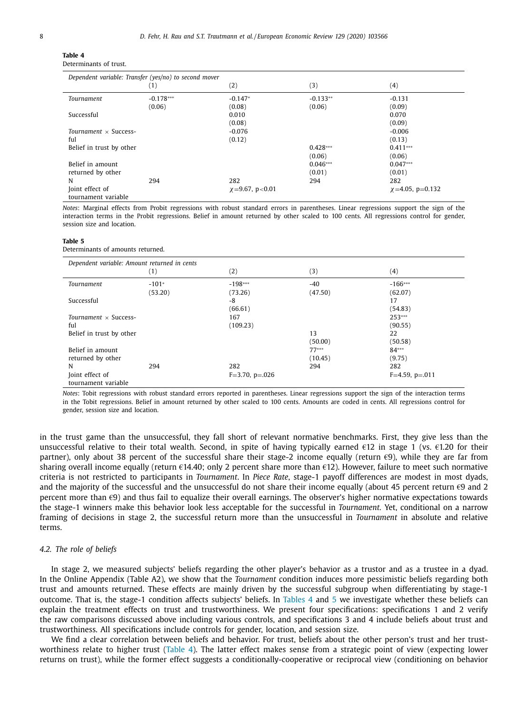<span id="page-7-0"></span>

| таріс ч |                       |  |
|---------|-----------------------|--|
|         | Determinants of trust |  |

**Table 4**

| Dependent variable: Transfer (yes/no) to second mover |             |                        |            |                      |
|-------------------------------------------------------|-------------|------------------------|------------|----------------------|
|                                                       | (1)         | (2)                    | (3)        | (4)                  |
| Tournament                                            | $-0.178***$ | $-0.147*$              | $-0.133**$ | $-0.131$             |
|                                                       | (0.06)      | (0.08)                 | (0.06)     | (0.09)               |
| Successful                                            |             | 0.010                  |            | 0.070                |
|                                                       |             | (0.08)                 |            | (0.09)               |
| Tournament $\times$ Success-                          |             | $-0.076$               |            | $-0.006$             |
| ful                                                   |             | (0.12)                 |            | (0.13)               |
| Belief in trust by other                              |             |                        | $0.428***$ | $0.411***$           |
|                                                       |             |                        | (0.06)     | (0.06)               |
| Belief in amount                                      |             |                        | $0.046***$ | $0.047***$           |
| returned by other                                     |             |                        | (0.01)     | (0.01)               |
| N                                                     | 294         | 282                    | 294        | 282                  |
| Joint effect of<br>tournament variable                |             | $\chi = 9.67$ , p<0.01 |            | $x = 4.05$ , p=0.132 |

*Notes*: Marginal effects from Probit regressions with robust standard errors in parentheses. Linear regressions support the sign of the interaction terms in the Probit regressions. Belief in amount returned by other scaled to 100 cents. All regressions control for gender, session size and location.

#### **Table 5**

Determinants of amounts returned.

| Dependent variable: Amount returned in cents |         |                     |         |                     |
|----------------------------------------------|---------|---------------------|---------|---------------------|
|                                              | (1)     | (2)                 | (3)     | (4)                 |
| <b>Tournament</b>                            | $-101*$ | $-198***$           | $-40$   | $-166***$           |
|                                              | (53.20) | (73.26)             | (47.50) | (62.07)             |
| Successful                                   |         | -8                  |         | 17                  |
|                                              |         | (66.61)             |         | (54.83)             |
| Tournament $\times$ Success-                 |         | 167                 |         | $253***$            |
| ful                                          |         | (109.23)            |         | (90.55)             |
| Belief in trust by other                     |         |                     | 13      | 22                  |
|                                              |         |                     | (50.00) | (50.58)             |
| Belief in amount                             |         |                     | $77***$ | $84***$             |
| returned by other                            |         |                     | (10.45) | (9.75)              |
| N                                            | 294     | 282                 | 294     | 282                 |
| Joint effect of                              |         | $F=3.70$ , $p=.026$ |         | $F=4.59$ , $p=.011$ |
| tournament variable                          |         |                     |         |                     |

*Notes*: Tobit regressions with robust standard errors reported in parentheses. Linear regressions support the sign of the interaction terms in the Tobit regressions. Belief in amount returned by other scaled to 100 cents. Amounts are coded in cents. All regressions control for gender, session size and location.

in the trust game than the unsuccessful, they fall short of relevant normative benchmarks. First, they give less than the unsuccessful relative to their total wealth. Second, in spite of having typically earned  $\epsilon$ 12 in stage 1 (vs.  $\epsilon$ 1.20 for their partner), only about 38 percent of the successful share their stage-2 income equally (return  $\epsilon$ 9), while they are far from sharing overall income equally (return  $\epsilon$ 14.40; only 2 percent share more than  $\epsilon$ 12). However, failure to meet such normative criteria is not restricted to participants in *Tournament*. In *Piece Rate*, stage-1 payoff differences are modest in most dyads, and the majority of the successful and the unsuccessful do not share their income equally (about 45 percent return  $\epsilon$ 9 and 2 percent more than €9) and thus fail to equalize their overall earnings. The observer's higher normative expectations towards the stage-1 winners make this behavior look less acceptable for the successful in *Tournament.* Yet, conditional on a narrow framing of decisions in stage 2, the successful return more than the unsuccessful in *Tournament* in absolute and relative terms.

## *4.2. The role of beliefs*

In stage 2, we measured subjects' beliefs regarding the other player's behavior as a trustor and as a trustee in a dyad. In the Online Appendix (Table A2), we show that the *Tournament* condition induces more pessimistic beliefs regarding both trust and amounts returned. These effects are mainly driven by the successful subgroup when differentiating by stage-1 outcome. That is, the stage-1 condition affects subjects' beliefs. In Tables 4 and 5 we investigate whether these beliefs can explain the treatment effects on trust and trustworthiness. We present four specifications: specifications 1 and 2 verify the raw comparisons discussed above including various controls, and specifications 3 and 4 include beliefs about trust and trustworthiness. All specifications include controls for gender, location, and session size.

We find a clear correlation between beliefs and behavior. For trust, beliefs about the other person's trust and her trustworthiness relate to higher trust (Table 4). The latter effect makes sense from a strategic point of view (expecting lower returns on trust), while the former effect suggests a conditionally-cooperative or reciprocal view (conditioning on behavior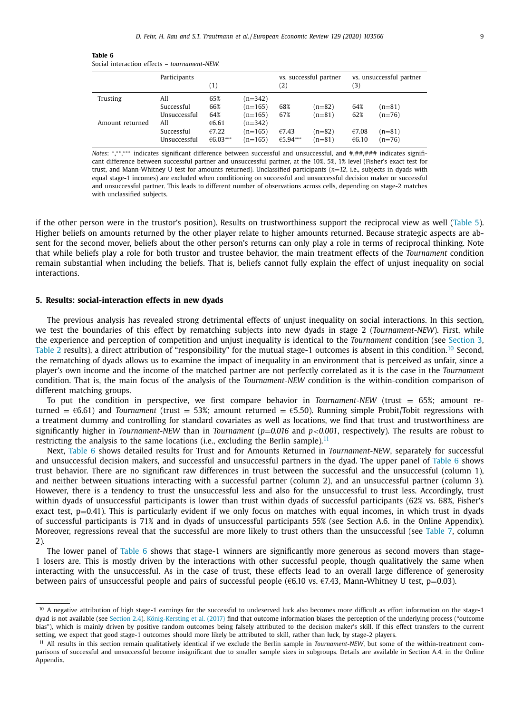#### <span id="page-8-0"></span>**Table 6**

Social interaction effects – *tournament-NEW.*

|                 | Participants                      | (1)                             |                                     | (2)                 | vs. successful partner | 3)             | vs. unsuccessful partner |
|-----------------|-----------------------------------|---------------------------------|-------------------------------------|---------------------|------------------------|----------------|--------------------------|
| Trusting        | All<br>Successful<br>Unsuccessful | 65%<br>66%<br>64%               | $(n=342)$<br>$(n=165)$<br>$(n=165)$ | 68%<br>67%          | $(n=82)$<br>$(n=81)$   | 64%<br>62%     | $(n=81)$<br>$(n=76)$     |
| Amount returned | All<br>Successful<br>Unsuccessful | €6.61<br>$E$ 7.22<br>$66.03***$ | $(n=342)$<br>$(n=165)$<br>$(n=165)$ | €7.43<br>$65.94***$ | $(n=82)$<br>$(n=81)$   | €7.08<br>€6.10 | $(n=81)$<br>$(n=76)$     |

*Notes*: <sup>∗</sup>, ∗∗, ∗∗∗ indicates significant difference between successful and unsuccessful, and #,##,### indicates significant difference between successful partner and unsuccessful partner, at the 10%, 5%, 1% level (Fisher's exact test for trust, and Mann-Whitney U test for amounts returned). Unclassified participants (*n*=*12*, i.e., subjects in dyads with equal stage-1 incomes) are excluded when conditioning on successful and unsuccessful decision maker or successful and unsuccessful partner. This leads to different number of observations across cells, depending on stage-2 matches with unclassified subjects.

if the other person were in the trustor's position). Results on trustworthiness support the reciprocal view as well [\(Table](#page-7-0) 5). Higher beliefs on amounts returned by the other player relate to higher amounts returned. Because strategic aspects are absent for the second mover, beliefs about the other person's returns can only play a role in terms of reciprocal thinking. Note that while beliefs play a role for both trustor and trustee behavior, the main treatment effects of the *Tournament* condition remain substantial when including the beliefs. That is, beliefs cannot fully explain the effect of unjust inequality on social interactions.

### **5. Results: social-interaction effects in new dyads**

The previous analysis has revealed strong detrimental effects of unjust inequality on social interactions. In this section, we test the boundaries of this effect by rematching subjects into new dyads in stage 2 (*Tournament-NEW*). First, while the experience and perception of competition and unjust inequality is identical to the *Tournament* condition (see [Section](#page-5-0) 3, [Table](#page-5-0) 2 results), a direct attribution of "responsibility" for the mutual stage-1 outcomes is absent in this condition.<sup>10</sup> Second, the rematching of dyads allows us to examine the impact of inequality in an environment that is perceived as unfair, since a player's own income and the income of the matched partner are not perfectly correlated as it is the case in the *Tournament* condition. That is, the main focus of the analysis of the *Tournament-NEW* condition is the within-condition comparison of different matching groups.

To put the condition in perspective, we first compare behavior in *Tournament-NEW* (trust = 65%; amount returned  $= 66.61$ ) and *Tournament* (trust  $= 53$ %; amount returned  $= 65.50$ ). Running simple Probit/Tobit regressions with a treatment dummy and controlling for standard covariates as well as locations, we find that trust and trustworthiness are significantly higher in *Tournament-NEW* than in *Tournament* ( $p=0.016$  and  $p<0.001$ , respectively). The results are robust to restricting the analysis to the same locations (i.e., excluding the Berlin sample).<sup>11</sup>

Next, Table 6 shows detailed results for Trust and for Amounts Returned in *Tournament-NEW*, separately for successful and unsuccessful decision makers, and successful and unsuccessful partners in the dyad. The upper panel of Table 6 shows trust behavior. There are no significant raw differences in trust between the successful and the unsuccessful (column 1), and neither between situations interacting with a successful partner (column 2), and an unsuccessful partner (column 3). However, there is a tendency to trust the unsuccessful less and also for the unsuccessful to trust less. Accordingly, trust within dyads of unsuccessful participants is lower than trust within dyads of successful participants (62% vs. 68%, Fisher's exact test,  $p=0.41$ ). This is particularly evident if we only focus on matches with equal incomes, in which trust in dyads of successful participants is 71% and in dyads of unsuccessful participants 55% (see Section A.6. in the Online Appendix). Moreover, regressions reveal that the successful are more likely to trust others than the unsuccessful (see [Table](#page-9-0) 7, column 2).

The lower panel of Table 6 shows that stage-1 winners are significantly more generous as second movers than stage-1 losers are. This is mostly driven by the interactions with other successful people, though qualitatively the same when interacting with the unsuccessful. As in the case of trust, these effects lead to an overall large difference of generosity between pairs of unsuccessful people and pairs of successful people ( $\epsilon$ 6.10 vs.  $\epsilon$ 7.43, Mann-Whitney U test, p=0.03).

<sup>&</sup>lt;sup>10</sup> A negative attribution of high stage-1 earnings for the successful to undeserved luck also becomes more difficult as effort information on the stage-1 dyad is not available (see [Section](#page-4-0) 2.4). [König-Kersting](#page-11-0) et al. (2017) find that outcome information biases the perception of the underlying process ("outcome bias"), which is mainly driven by positive random outcomes being falsely attributed to the decision maker's skill. If this effect transfers to the current setting, we expect that good stage-1 outcomes should more likely be attributed to skill, rather than luck, by stage-2 players.

<sup>&</sup>lt;sup>11</sup> All results in this section remain qualitatively identical if we exclude the Berlin sample in *Tournament-NEW*, but some of the within-treatment comparisons of successful and unsuccessful become insignificant due to smaller sample sizes in subgroups. Details are available in Section A.4. in the Online Appendix.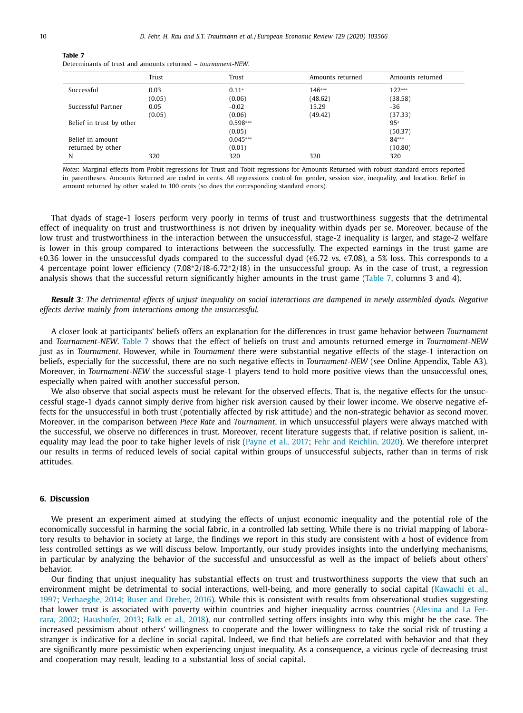<span id="page-9-0"></span>

| Table 7                                                      |  |  |  |  |
|--------------------------------------------------------------|--|--|--|--|
| Determinants of trust and amounts returned – tournament-NEW. |  |  |  |  |

|                          | Trust  | Trust      | Amounts returned | Amounts returned |
|--------------------------|--------|------------|------------------|------------------|
| Successful               | 0.03   | $0.11*$    | $146***$         | $122***$         |
|                          | (0.05) | (0.06)     | (48.62)          | (38.58)          |
| Successful Partner       | 0.05   | $-0.02$    | 15.29            | -36              |
|                          | (0.05) | (0.06)     | (49.42)          | (37.33)          |
| Belief in trust by other |        | $0.598***$ |                  | $95*$            |
|                          |        | (0.05)     |                  | (50.37)          |
| Belief in amount         |        | $0.045***$ |                  | 84***            |
| returned by other        |        | (0.01)     |                  | (10.80)          |
| N                        | 320    | 320        | 320              | 320              |

*Notes*: Marginal effects from Probit regressions for Trust and Tobit regressions for Amounts Returned with robust standard errors reported in parentheses. Amounts Returned are coded in cents. All regressions control for gender, session size, inequality, and location. Belief in amount returned by other scaled to 100 cents (so does the corresponding standard errors).

That dyads of stage-1 losers perform very poorly in terms of trust and trustworthiness suggests that the detrimental effect of inequality on trust and trustworthiness is not driven by inequality within dyads per se. Moreover, because of the low trust and trustworthiness in the interaction between the unsuccessful, stage-2 inequality is larger, and stage-2 welfare is lower in this group compared to interactions between the successfully. The expected earnings in the trust game are €0.36 lower in the unsuccessful dyads compared to the successful dyad (€6.72 vs. €7.08), a 5% loss. This corresponds to a 4 percentage point lower efficiency (7.08∗2/18-6.72∗2/18) in the unsuccessful group. As in the case of trust, a regression analysis shows that the successful return significantly higher amounts in the trust game (Table 7, columns 3 and 4).

Result 3: The detrimental effects of unjust inequality on social interactions are dampened in newly assembled dyads. Negative *effects derive mainly from interactions among the unsuccessful.*

A closer look at participants' beliefs offers an explanation for the differences in trust game behavior between *Tournament* and *Tournament-NEW*. Table 7 shows that the effect of beliefs on trust and amounts returned emerge in *Tournament-NEW* just as in *Tournament*. However, while in *Tournament* there were substantial negative effects of the stage-1 interaction on beliefs, especially for the successful, there are no such negative effects in *Tournament-NEW* (see Online Appendix, Table A3). Moreover, in *Tournament-NEW* the successful stage-1 players tend to hold more positive views than the unsuccessful ones, especially when paired with another successful person.

We also observe that social aspects must be relevant for the observed effects. That is, the negative effects for the unsuccessful stage-1 dyads cannot simply derive from higher risk aversion caused by their lower income. We observe negative effects for the unsuccessful in both trust (potentially affected by risk attitude) and the non-strategic behavior as second mover. Moreover, in the comparison between *Piece Rate* and *Tournament*, in which unsuccessful players were always matched with the successful, we observe no differences in trust. Moreover, recent literature suggests that, if relative position is salient, inequality may lead the poor to take higher levels of risk [\(Payne](#page-11-0) et al., 2017; Fehr and [Reichlin,](#page-11-0) 2020). We therefore interpret our results in terms of reduced levels of social capital within groups of unsuccessful subjects, rather than in terms of risk attitudes.

# **6. Discussion**

We present an experiment aimed at studying the effects of unjust economic inequality and the potential role of the economically successful in harming the social fabric, in a controlled lab setting. While there is no trivial mapping of laboratory results to behavior in society at large, the findings we report in this study are consistent with a host of evidence from less controlled settings as we will discuss below. Importantly, our study provides insights into the underlying mechanisms, in particular by analyzing the behavior of the successful and unsuccessful as well as the impact of beliefs about others' behavior.

Our finding that unjust inequality has substantial effects on trust and trustworthiness supports the view that such an environment might be detrimental to social interactions, well-being, and more generally to social capital (Kawachi et al., 1997; [Verhaeghe,](#page-11-0) 2014; Buser and [Dreber,](#page-11-0) 2016). While this is consistent with results from [observational](#page-11-0) studies suggesting that lower trust is associated with poverty within countries and higher inequality across countries (Alesina and La Ferrara, 2002; [Haushofer,](#page-10-0) 2013; Falk et al., [2018\)](#page-11-0), our controlled setting offers insights into why this might be the case. The increased pessimism about others' willingness to cooperate and the lower willingness to take the social risk of trusting a stranger is indicative for a decline in social capital. Indeed, we find that beliefs are correlated with behavior and that they are significantly more pessimistic when experiencing unjust inequality. As a consequence, a vicious cycle of decreasing trust and cooperation may result, leading to a substantial loss of social capital.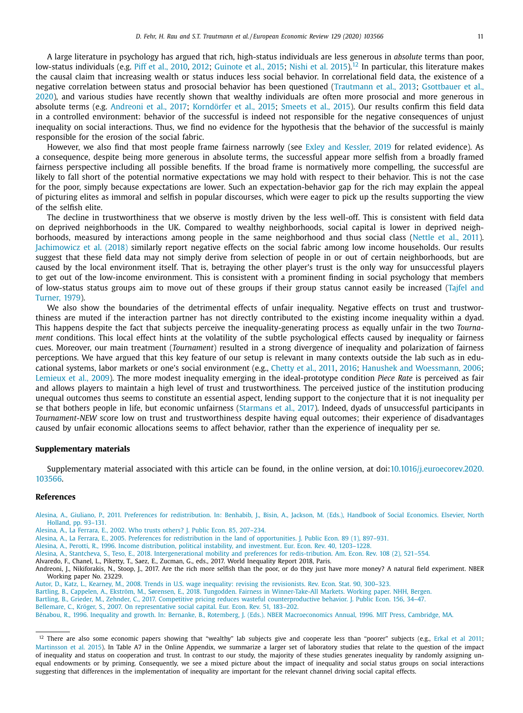<span id="page-10-0"></span>A large literature in psychology has argued that rich, high-status individuals are less generous in *absolute* terms than poor, low-status individuals (e.g. [Piff et](#page-11-0) al., 2010, [2012;](#page-11-0) [Guinote](#page-11-0) et al., 2015; [Nishi](#page-11-0) et al. 2015).<sup>12</sup> In particular, this literature makes the causal claim that increasing wealth or status induces less social behavior. In correlational field data, the existence of a negative correlation between status and prosocial behavior has been questioned [\(Trautmann](#page-11-0) et al., 2013; Gsottbauer et al., 2020), and various studies have recently shown that wealthy individuals are often more prosocial and more generous in absolute terms (e.g. Andreoni et al., 2017; [Korndörfer](#page-11-0) et al., 2015; [Smeets](#page-11-0) et al., 2015). Our results confirm this field data in a controlled environment: behavior of the successful is indeed not responsible for the negative consequences of unjust inequality on social interactions. Thus, we find no evidence for the hypothesis that the behavior of the successful is mainly responsible for the erosion of the social fabric.

However, we also find that most people frame fairness narrowly (see Exley and [Kessler,](#page-11-0) 2019 for related evidence). As a consequence, despite being more generous in absolute terms, the successful appear more selfish from a broadly framed fairness perspective including all possible benefits. If the broad frame is normatively more compelling, the successful are likely to fall short of the potential normative expectations we may hold with respect to their behavior. This is not the case for the poor, simply because expectations are lower. Such an expectation-behavior gap for the rich may explain the appeal of picturing elites as immoral and selfish in popular discourses, which were eager to pick up the results supporting the view of the selfish elite.

The decline in trustworthiness that we observe is mostly driven by the less well-off. This is consistent with field data on deprived neighborhoods in the UK. Compared to wealthy neighborhoods, social capital is lower in deprived neighborhoods, measured by interactions among people in the same neighborhood and thus social class [\(Nettle](#page-11-0) et al., 2011). [Jachimowicz](#page-11-0) et al. (2018) similarly report negative effects on the social fabric among low income households. Our results suggest that these field data may not simply derive from selection of people in or out of certain neighborhoods, but are caused by the local environment itself. That is, betraying the other player's trust is the only way for unsuccessful players to get out of the low-income environment. This is consistent with a prominent finding in social psychology that members of [low-status](#page-11-0) status groups aim to move out of these groups if their group status cannot easily be increased (Tajfel and Turner, 1979).

We also show the boundaries of the detrimental effects of unfair inequality. Negative effects on trust and trustworthiness are muted if the interaction partner has not directly contributed to the existing income inequality within a dyad. This happens despite the fact that subjects perceive the inequality-generating process as equally unfair in the two *Tournament* conditions. This local effect hints at the volatility of the subtle psychological effects caused by inequality or fairness cues. Moreover, our main treatment (*Tournament*) resulted in a strong divergence of inequality and polarization of fairness perceptions. We have argued that this key feature of our setup is relevant in many contexts outside the lab such as in educational systems, labor markets or one's social environment (e.g., [Chetty](#page-11-0) et al., 2011, [2016;](#page-11-0) Hanushek and [Woessmann,](#page-11-0) 2006; [Lemieux](#page-11-0) et al., 2009). The more modest inequality emerging in the ideal-prototype condition *Piece Rate* is perceived as fair and allows players to maintain a high level of trust and trustworthiness. The perceived justice of the institution producing unequal outcomes thus seems to constitute an essential aspect, lending support to the conjecture that it is not inequality per se that bothers people in life, but economic unfairness [\(Starmans](#page-11-0) et al., 2017). Indeed, dyads of unsuccessful participants in *Tournament-NEW* score low on trust and trustworthiness despite having equal outcomes; their experience of disadvantages caused by unfair economic allocations seems to affect behavior, rather than the experience of inequality per se.

### **Supplementary materials**

Supplementary material associated with this article can be found, in the online version, at [doi:10.1016/j.euroecorev.2020.](https://doi.org/10.1016/j.euroecorev.2020.103566) 103566.

#### **References**

[Alesina,](http://refhub.elsevier.com/S0014-2921(20)30196-3/sbref0001) A., [Giuliano,](http://refhub.elsevier.com/S0014-2921(20)30196-3/sbref0001) P., 2011. Preferences for [redistribution.](http://refhub.elsevier.com/S0014-2921(20)30196-3/sbref0001) In: Benhabib, J., Bisin, A., Jackson, M. (Eds.), Handbook of Social Economics. Elsevier, North Holland, pp. 93–131.

- [Alesina,](http://refhub.elsevier.com/S0014-2921(20)30196-3/sbref0002) A., La [Ferrara,](http://refhub.elsevier.com/S0014-2921(20)30196-3/sbref0002) E., 2002. Who trusts others? J. Public Econ. 85, [207–234.](http://refhub.elsevier.com/S0014-2921(20)30196-3/sbref0002)
- [Alesina,](http://refhub.elsevier.com/S0014-2921(20)30196-3/sbref0003) A., La [Ferrara,](http://refhub.elsevier.com/S0014-2921(20)30196-3/sbref0003) E., 2005. Preferences for redistribution in the land of [opportunities.](http://refhub.elsevier.com/S0014-2921(20)30196-3/sbref0003) J. Public Econ. 89 (1), 897–931.
- [Alesina,](http://refhub.elsevier.com/S0014-2921(20)30196-3/sbref0004) A., [Perotti,](http://refhub.elsevier.com/S0014-2921(20)30196-3/sbref0004) R., 1996. Income [distribution,](http://refhub.elsevier.com/S0014-2921(20)30196-3/sbref0004) political instability, and investment. Eur. Econ. Rev. 40, 1203–1228.
- [Alesina,](http://refhub.elsevier.com/S0014-2921(20)30196-3/sbref0005) A., [Stantcheva,](http://refhub.elsevier.com/S0014-2921(20)30196-3/sbref0005) S., [Teso,](http://refhub.elsevier.com/S0014-2921(20)30196-3/sbref0005) E., 2018. [Intergenerational](http://refhub.elsevier.com/S0014-2921(20)30196-3/sbref0005) mobility and preferences for redis-tribution. Am. Econ. Rev. 108 (2), 521–554.
- Alvaredo, F., Chanel, L., Piketty, T., Saez, E., Zucman, G., eds., 2017. World Inequality Report 2018, Paris.

Andreoni, J., Nikiforakis, N., Stoop, J., 2017. Are the rich more selfish than the poor, or do they just have more money? A natural field experiment. NBER Working paper No. 23229.

- [Autor,](http://refhub.elsevier.com/S0014-2921(20)30196-3/sbref0008) D., [Katz,](http://refhub.elsevier.com/S0014-2921(20)30196-3/sbref0008) L., [Kearney,](http://refhub.elsevier.com/S0014-2921(20)30196-3/sbref0008) M., 2008. Trends in U.S. wage inequality: revising the [revisionists.](http://refhub.elsevier.com/S0014-2921(20)30196-3/sbref0008) Rev. Econ. Stat. 90, 300–323.
- [Bartling,](http://refhub.elsevier.com/S0014-2921(20)30196-3/sbref0010) B., [Cappelen,](http://refhub.elsevier.com/S0014-2921(20)30196-3/sbref0010) A., [Ekström,](http://refhub.elsevier.com/S0014-2921(20)30196-3/sbref0010) M., [Sørensen,](http://refhub.elsevier.com/S0014-2921(20)30196-3/sbref0010) E., 2018. Tungodden. Fairness in [Winner-Take-All](http://refhub.elsevier.com/S0014-2921(20)30196-3/sbref0010) Markets. Working paper. NHH, Bergen.
- [Bartling,](http://refhub.elsevier.com/S0014-2921(20)30196-3/sbref0009) B., [Grieder,](http://refhub.elsevier.com/S0014-2921(20)30196-3/sbref0009) M., [Zehnder,](http://refhub.elsevier.com/S0014-2921(20)30196-3/sbref0009) C., 2017. Competitive pricing reduces wasteful [counterproductive](http://refhub.elsevier.com/S0014-2921(20)30196-3/sbref0009) behavior. J. Public Econ. 156, 34–47.
- [Bellemare,](http://refhub.elsevier.com/S0014-2921(20)30196-3/sbref0011) C., [Kröger,](http://refhub.elsevier.com/S0014-2921(20)30196-3/sbref0011) S., 2007. On [representative](http://refhub.elsevier.com/S0014-2921(20)30196-3/sbref0011) social capital. Eur. Econ. Rev. 51, 183–202.

[Bénabou,](http://refhub.elsevier.com/S0014-2921(20)30196-3/sbref0012) R., 1996. Inequality and growth. In: Bernanke, B., Rotemberg, J. (Eds.). NBER [Macroeconomics](http://refhub.elsevier.com/S0014-2921(20)30196-3/sbref0012) Annual, 1996. MIT Press, Cambridge, MA.

<sup>&</sup>lt;sup>12</sup> There are also some economic papers showing that "wealthy" lab subjects give and cooperate less than "poorer" subjects (e.g., Erkal et al [2011;](#page-11-0) [Martinsson](#page-11-0) et al. 2015). In Table A7 in the Online Appendix, we summarize a larger set of laboratory studies that relate to the question of the impact of inequality and status on cooperation and trust. In contrast to our study, the majority of these studies generates inequality by randomly assigning unequal endowments or by priming. Consequently, we see a mixed picture about the impact of inequality and social status groups on social interactions suggesting that differences in the implementation of inequality are important for the relevant channel driving social capital effects.